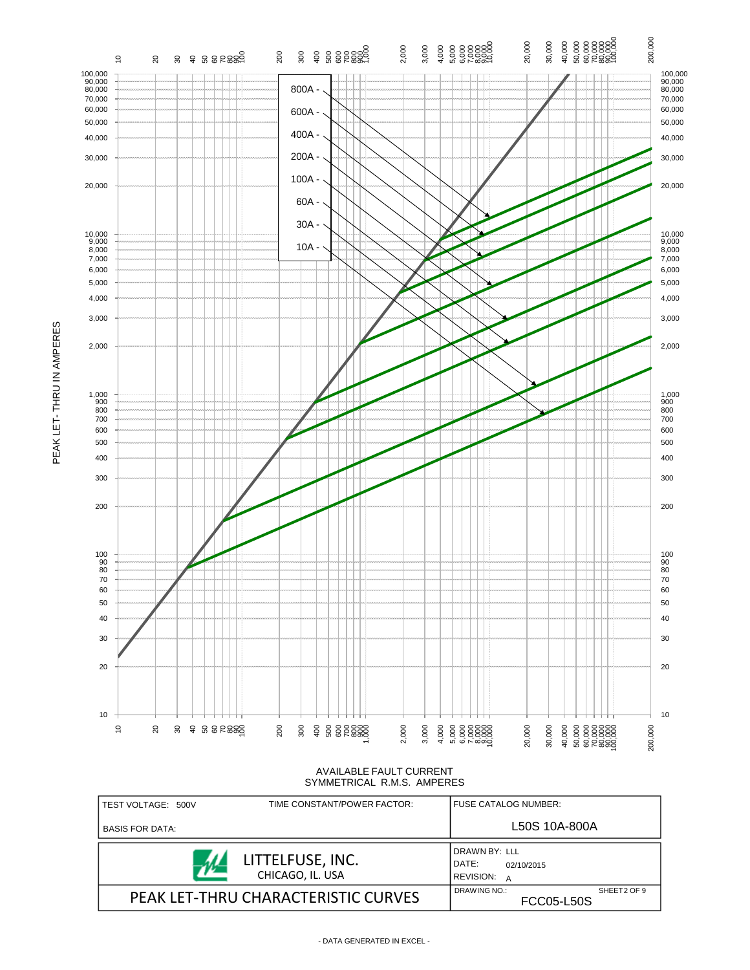

| TEST VOLTAGE: 500V     | TIME CONSTANT/POWER FACTOR:          | FUSE CATALOG NUMBER:                     |               |             |
|------------------------|--------------------------------------|------------------------------------------|---------------|-------------|
| <b>BASIS FOR DATA:</b> |                                      |                                          | L50S 10A-800A |             |
|                        | LITTELFUSE, INC.<br>CHICAGO, IL. USA | DRAWN BY: LLL<br>DATE:<br>REVISION:<br>A | 02/10/2015    |             |
|                        | PEAK LET-THRU CHARACTERISTIC CURVES  | DRAWING NO.:<br><b>FCC05-L50S</b>        |               | SHEET2 OF 9 |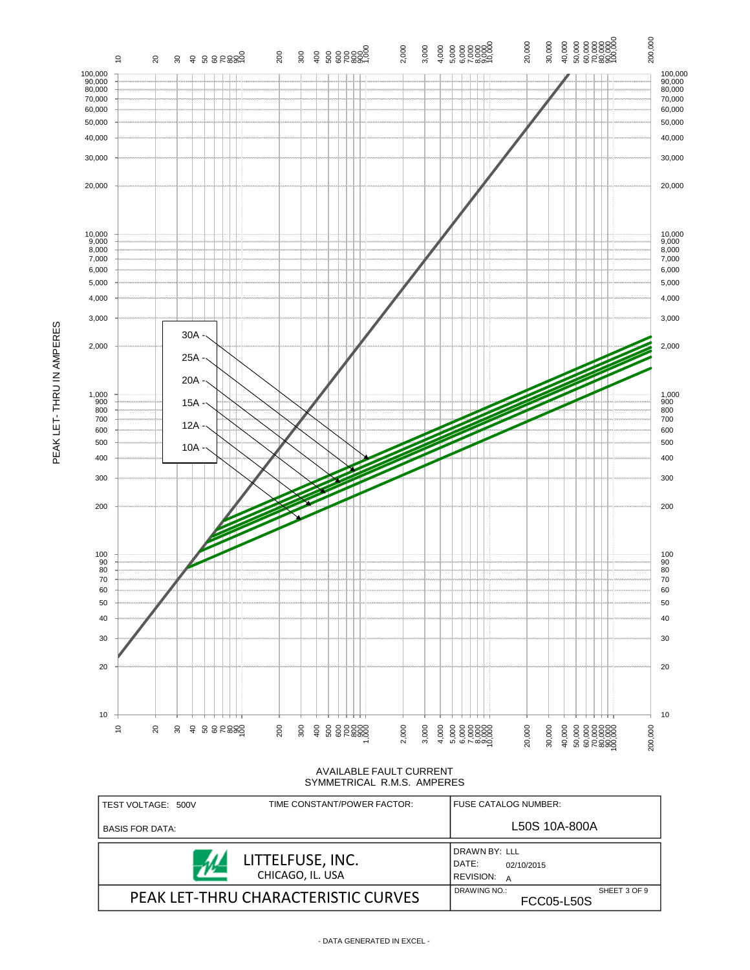

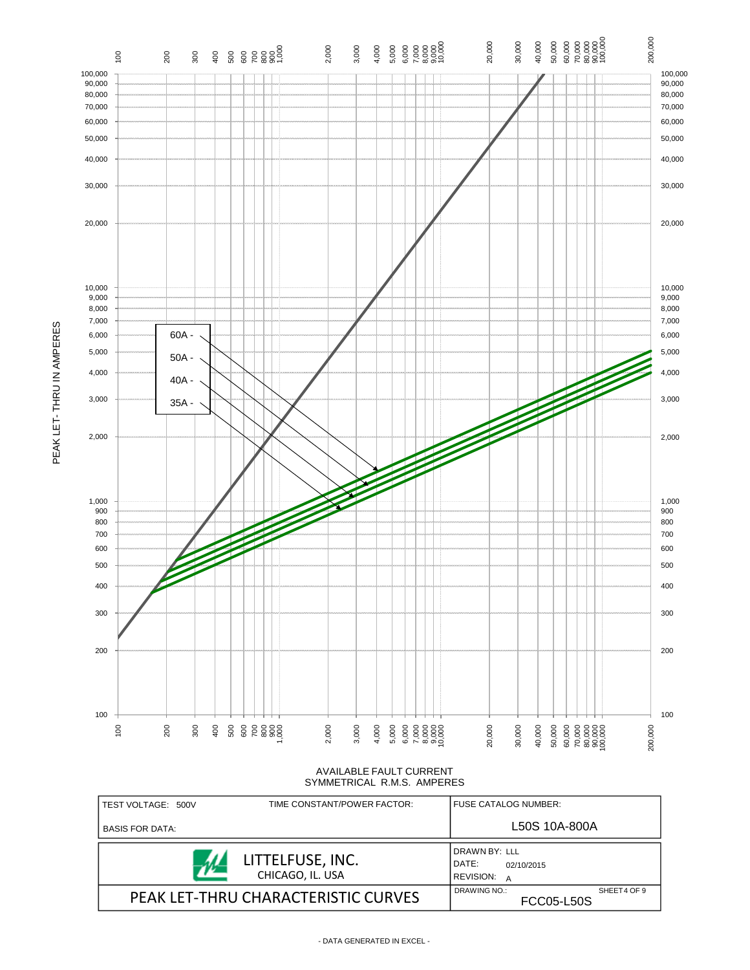

| TEST VOLTAGE: 500V     | TIME CONSTANT/POWER FACTOR:          | FUSE CATALOG NUMBER:                                          |  |
|------------------------|--------------------------------------|---------------------------------------------------------------|--|
| <b>BASIS FOR DATA:</b> |                                      | L50S 10A-800A                                                 |  |
|                        | LITTELFUSE, INC.<br>CHICAGO, IL. USA | DRAWN BY: LLL<br>DATE:<br>02/10/2015<br><b>REVISION:</b><br>A |  |
|                        | PEAK LET-THRU CHARACTERISTIC CURVES  | DRAWING NO.:<br>SHEET4 OF 9<br><b>FCC05-L50S</b>              |  |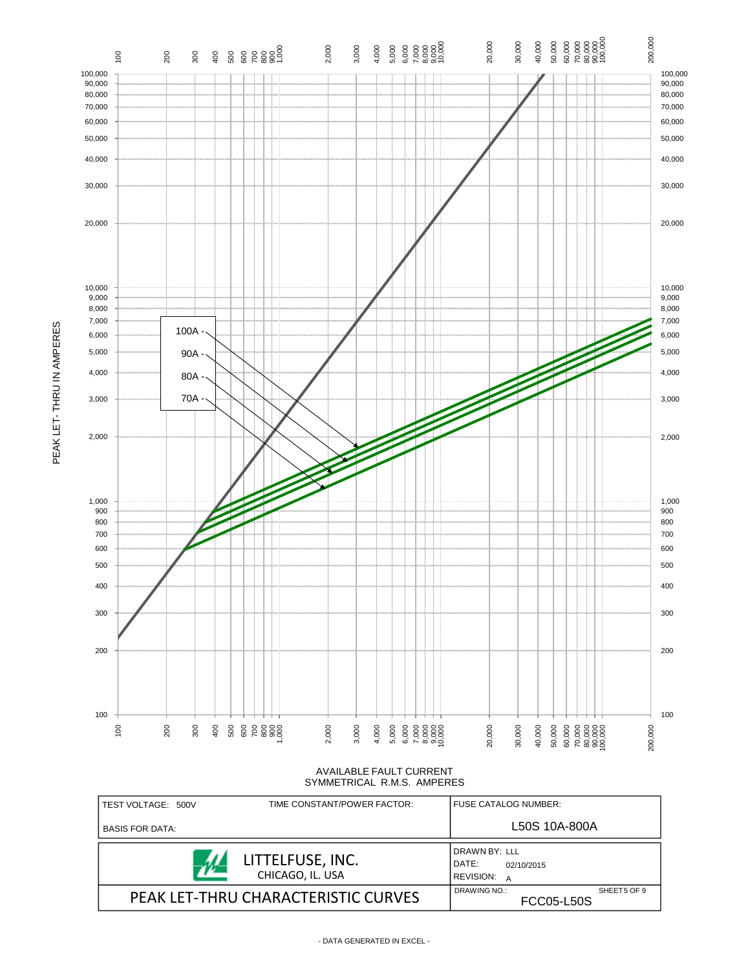

PEAK LET- THRU IN AMPERES

PEAK LET-THRU IN AMPERES

AVAILABLE FAULT CURRENT SYMMETRICAL R.M.S. AMPERES

| TEST VOLTAGE: 500V     | TIME CONSTANT/POWER FACTOR:          | <b>FUSE CATALOG NUMBER:</b>                                   |  |
|------------------------|--------------------------------------|---------------------------------------------------------------|--|
| <b>BASIS FOR DATA:</b> |                                      | L50S 10A-800A                                                 |  |
|                        | LITTELFUSE, INC.<br>CHICAGO, IL. USA | DRAWN BY: LLL<br>DATE:<br>02/10/2015<br><b>REVISION:</b><br>A |  |
|                        | PEAK LET-THRU CHARACTERISTIC CURVES  | DRAWING NO.:<br>SHEET5 OF 9<br><b>FCC05-L50S</b>              |  |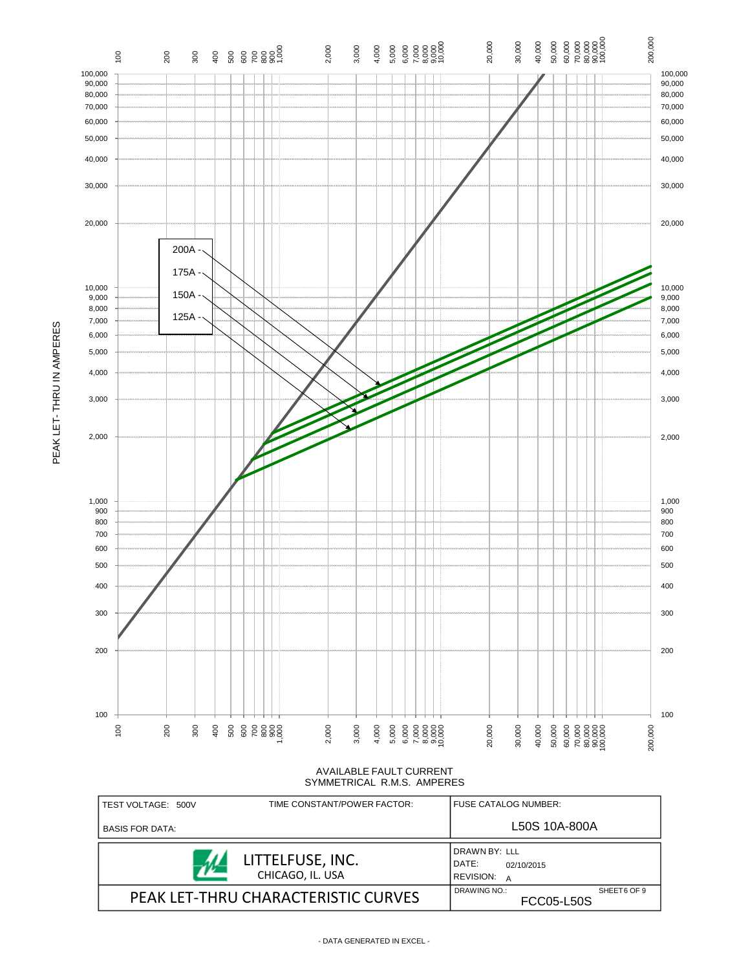

PEAK LET- THRU IN AMPERES

PEAK LET-THRU IN AMPERES

AVAILABLE FAULT CURRENT SYMMETRICAL R.M.S. AMPERES

| TEST VOLTAGE: 500V     | TIME CONSTANT/POWER FACTOR:          | <b>FUSE CATALOG NUMBER:</b>                            |  |
|------------------------|--------------------------------------|--------------------------------------------------------|--|
| <b>BASIS FOR DATA:</b> |                                      | L50S 10A-800A                                          |  |
|                        | LITTELFUSE, INC.<br>CHICAGO, IL. USA | DRAWN BY: LLL<br>DATE:<br>02/10/2015<br>REVISION:<br>A |  |
|                        | PEAK LET-THRU CHARACTERISTIC CURVES  | DRAWING NO.:<br>SHEET6 OF 9<br><b>FCC05-L50S</b>       |  |

- DATA GENERATED IN EXCEL -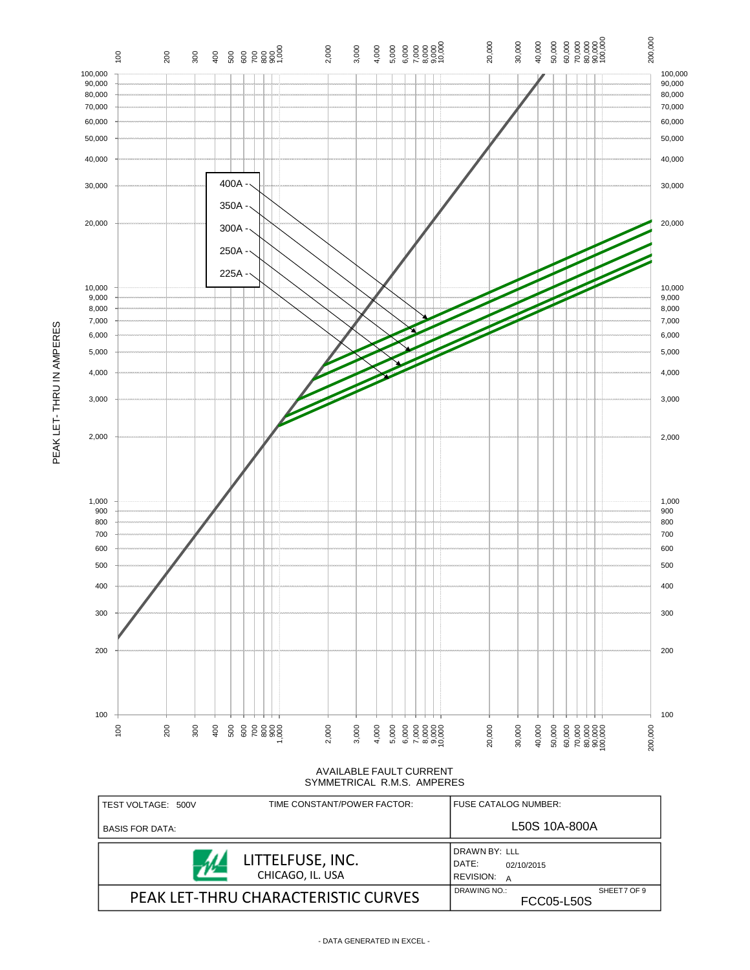

| I TEST VOLTAGE: 500V   | TIME CONSTANT/POWER FACTOR:          | <b>FUSE CATALOG NUMBER:</b>                                   |  |
|------------------------|--------------------------------------|---------------------------------------------------------------|--|
| <b>BASIS FOR DATA:</b> |                                      | L50S 10A-800A                                                 |  |
|                        | LITTELFUSE, INC.<br>CHICAGO, IL. USA | DRAWN BY: LLL<br>DATE:<br>02/10/2015<br><b>REVISION:</b><br>A |  |
|                        | PEAK LET-THRU CHARACTERISTIC CURVES  | DRAWING NO.:<br>SHEET7 OF 9<br><b>FCC05-L50S</b>              |  |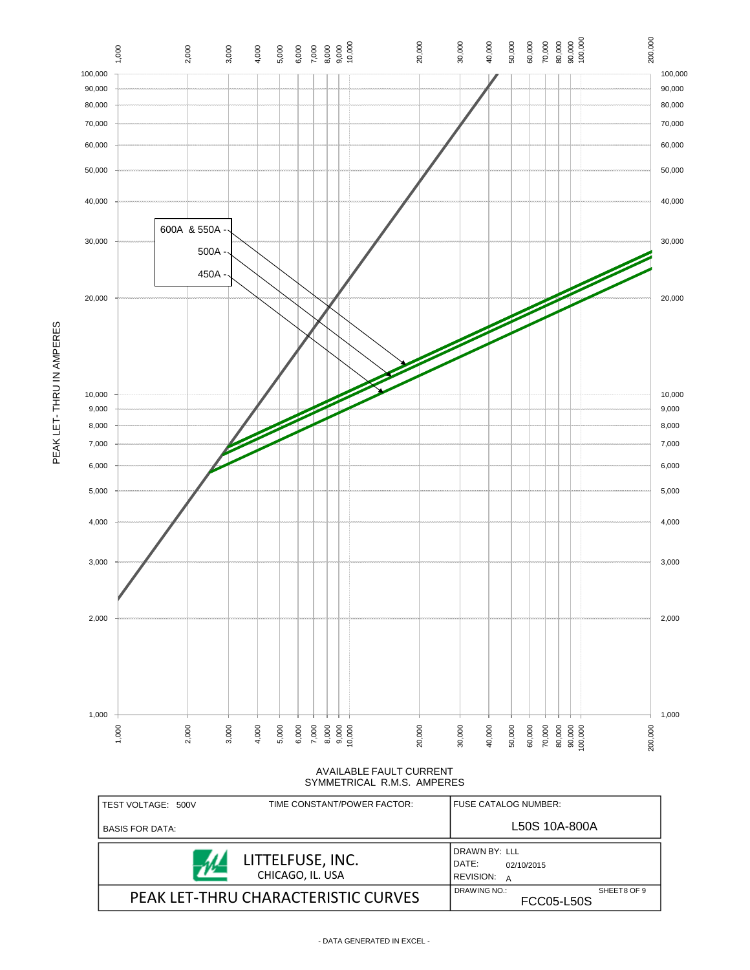

| TEST VOLTAGE: 500V     | TIME CONSTANT/POWER FACTOR:          | FUSE CATALOG NUMBER:                                          |  |
|------------------------|--------------------------------------|---------------------------------------------------------------|--|
| <b>BASIS FOR DATA:</b> |                                      | L50S 10A-800A                                                 |  |
|                        | LITTELFUSE, INC.<br>CHICAGO, IL. USA | DRAWN BY: LLL<br>DATE:<br>02/10/2015<br><b>REVISION:</b><br>A |  |
|                        | PEAK LET-THRU CHARACTERISTIC CURVES  | DRAWING NO.:<br>SHEET8 OF 9<br><b>FCC05-L50S</b>              |  |